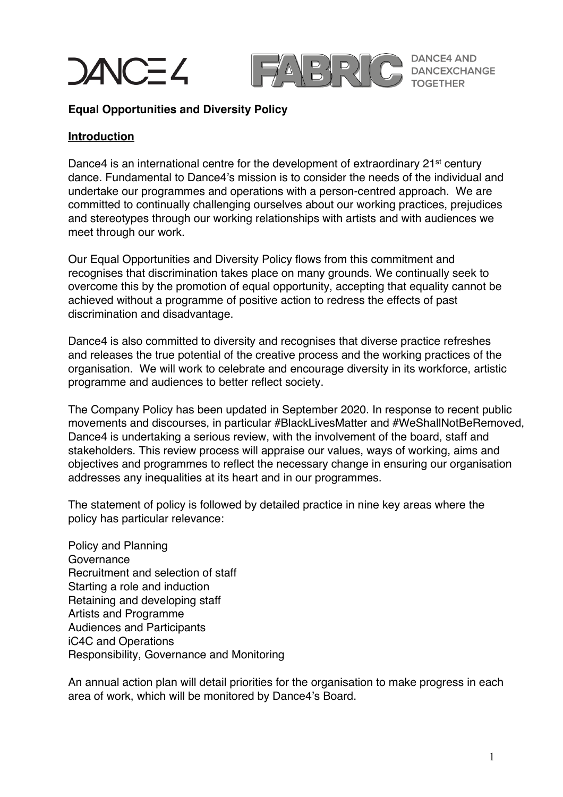



**DANCE4 AND DANCEXCHANGE** 

#### **Equal Opportunities and Diversity Policy**

#### **Introduction**

Dance4 is an international centre for the development of extraordinary 21<sup>st</sup> century dance. Fundamental to Dance4's mission is to consider the needs of the individual and undertake our programmes and operations with a person-centred approach. We are committed to continually challenging ourselves about our working practices, prejudices and stereotypes through our working relationships with artists and with audiences we meet through our work.

Our Equal Opportunities and Diversity Policy flows from this commitment and recognises that discrimination takes place on many grounds. We continually seek to overcome this by the promotion of equal opportunity, accepting that equality cannot be achieved without a programme of positive action to redress the effects of past discrimination and disadvantage.

Dance4 is also committed to diversity and recognises that diverse practice refreshes and releases the true potential of the creative process and the working practices of the organisation. We will work to celebrate and encourage diversity in its workforce, artistic programme and audiences to better reflect society.

The Company Policy has been updated in September 2020. In response to recent public movements and discourses, in particular #BlackLivesMatter and #WeShallNotBeRemoved, Dance4 is undertaking a serious review, with the involvement of the board, staff and stakeholders. This review process will appraise our values, ways of working, aims and objectives and programmes to reflect the necessary change in ensuring our organisation addresses any inequalities at its heart and in our programmes.

The statement of policy is followed by detailed practice in nine key areas where the policy has particular relevance:

Policy and Planning Governance Recruitment and selection of staff Starting a role and induction Retaining and developing staff Artists and Programme Audiences and Participants iC4C and Operations Responsibility, Governance and Monitoring

An annual action plan will detail priorities for the organisation to make progress in each area of work, which will be monitored by Dance4's Board.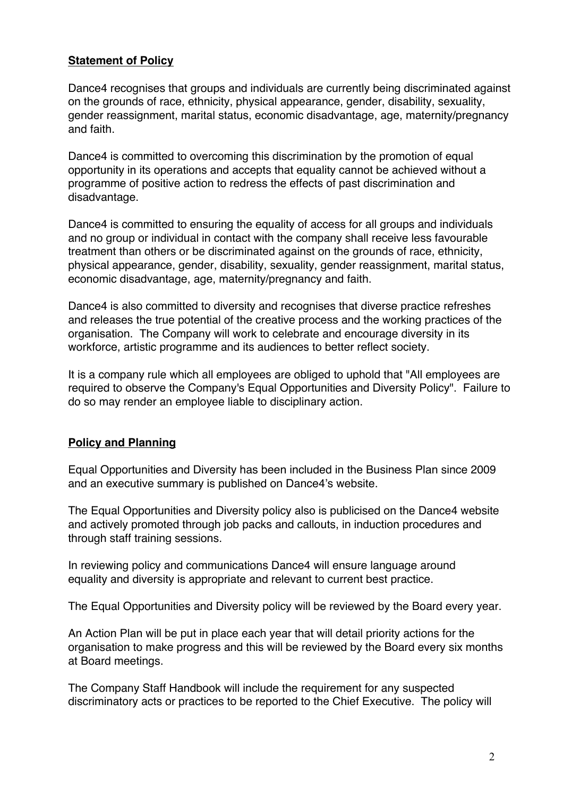# **Statement of Policy**

Dance4 recognises that groups and individuals are currently being discriminated against on the grounds of race, ethnicity, physical appearance, gender, disability, sexuality, gender reassignment, marital status, economic disadvantage, age, maternity/pregnancy and faith.

Dance4 is committed to overcoming this discrimination by the promotion of equal opportunity in its operations and accepts that equality cannot be achieved without a programme of positive action to redress the effects of past discrimination and disadvantage.

Dance4 is committed to ensuring the equality of access for all groups and individuals and no group or individual in contact with the company shall receive less favourable treatment than others or be discriminated against on the grounds of race, ethnicity, physical appearance, gender, disability, sexuality, gender reassignment, marital status, economic disadvantage, age, maternity/pregnancy and faith.

Dance4 is also committed to diversity and recognises that diverse practice refreshes and releases the true potential of the creative process and the working practices of the organisation. The Company will work to celebrate and encourage diversity in its workforce, artistic programme and its audiences to better reflect society.

It is a company rule which all employees are obliged to uphold that "All employees are required to observe the Company's Equal Opportunities and Diversity Policy". Failure to do so may render an employee liable to disciplinary action.

# **Policy and Planning**

Equal Opportunities and Diversity has been included in the Business Plan since 2009 and an executive summary is published on Dance4's website.

The Equal Opportunities and Diversity policy also is publicised on the Dance4 website and actively promoted through job packs and callouts, in induction procedures and through staff training sessions.

In reviewing policy and communications Dance4 will ensure language around equality and diversity is appropriate and relevant to current best practice.

The Equal Opportunities and Diversity policy will be reviewed by the Board every year.

An Action Plan will be put in place each year that will detail priority actions for the organisation to make progress and this will be reviewed by the Board every six months at Board meetings.

The Company Staff Handbook will include the requirement for any suspected discriminatory acts or practices to be reported to the Chief Executive. The policy will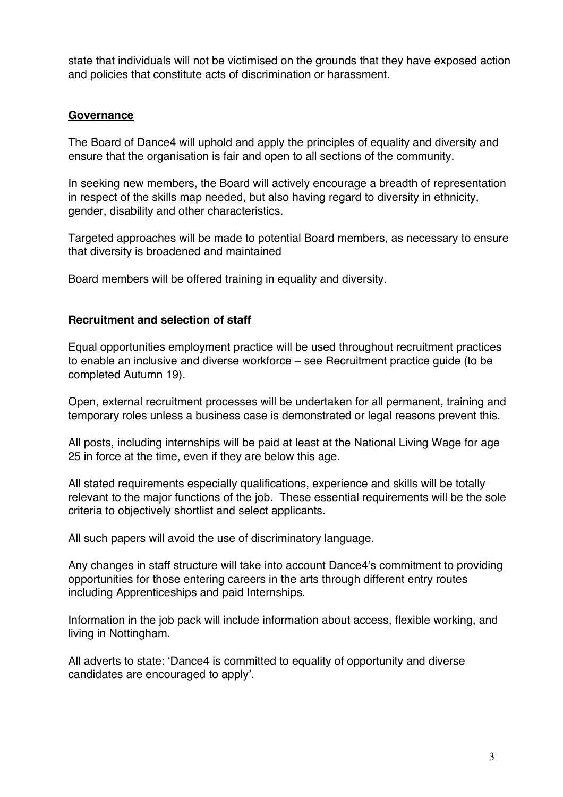state that individuals will not be victimised on the grounds that they have exposed action and policies that constitute acts of discrimination or harassment.

#### **Governance**

The Board of Dance4 will uphold and apply the principles of equality and diversity and ensure that the organisation is fair and open to all sections of the community.

In seeking new members, the Board will actively encourage a breadth of representation in respect of the skills map needed, but also having regard to diversity in ethnicity, gender, disability and other characteristics.

Targeted approaches will be made to potential Board members, as necessary to ensure that diversity is broadened and maintained

Board members will be offered training in equality and diversity.

# **Recruitment and selection of staff**

Equal opportunities employment practice will be used throughout recruitment practices to enable an inclusive and diverse workforce – see Recruitment practice guide (to be completed Autumn 19).

Open, external recruitment processes will be undertaken for all permanent, training and temporary roles unless a business case is demonstrated or legal reasons prevent this.

All posts, including internships will be paid at least at the National Living Wage for age 25 in force at the time, even if they are below this age.

All stated requirements especially qualifications, experience and skills will be totally relevant to the major functions of the job. These essential requirements will be the sole criteria to objectively shortlist and select applicants.

All such papers will avoid the use of discriminatory language.

Any changes in staff structure will take into account Dance4's commitment to providing opportunities for those entering careers in the arts through different entry routes including Apprenticeships and paid Internships.

Information in the job pack will include information about access, flexible working, and living in Nottingham.

All adverts to state: 'Dance4 is committed to equality of opportunity and diverse candidates are encouraged to apply'.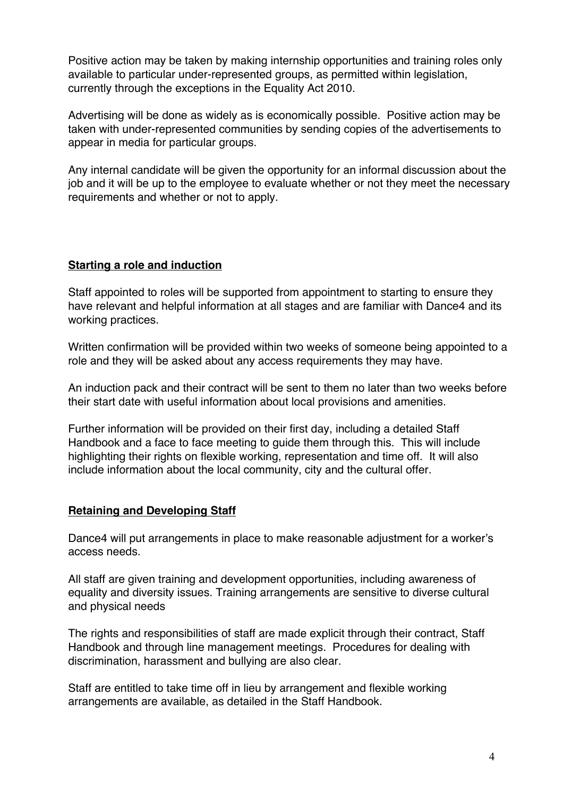Positive action may be taken by making internship opportunities and training roles only available to particular under-represented groups, as permitted within legislation, currently through the exceptions in the Equality Act 2010.

Advertising will be done as widely as is economically possible. Positive action may be taken with under-represented communities by sending copies of the advertisements to appear in media for particular groups.

Any internal candidate will be given the opportunity for an informal discussion about the job and it will be up to the employee to evaluate whether or not they meet the necessary requirements and whether or not to apply.

# **Starting a role and induction**

Staff appointed to roles will be supported from appointment to starting to ensure they have relevant and helpful information at all stages and are familiar with Dance4 and its working practices.

Written confirmation will be provided within two weeks of someone being appointed to a role and they will be asked about any access requirements they may have.

An induction pack and their contract will be sent to them no later than two weeks before their start date with useful information about local provisions and amenities.

Further information will be provided on their first day, including a detailed Staff Handbook and a face to face meeting to guide them through this. This will include highlighting their rights on flexible working, representation and time off. It will also include information about the local community, city and the cultural offer.

# **Retaining and Developing Staff**

Dance4 will put arrangements in place to make reasonable adjustment for a worker's access needs.

All staff are given training and development opportunities, including awareness of equality and diversity issues. Training arrangements are sensitive to diverse cultural and physical needs

The rights and responsibilities of staff are made explicit through their contract, Staff Handbook and through line management meetings. Procedures for dealing with discrimination, harassment and bullying are also clear.

Staff are entitled to take time off in lieu by arrangement and flexible working arrangements are available, as detailed in the Staff Handbook.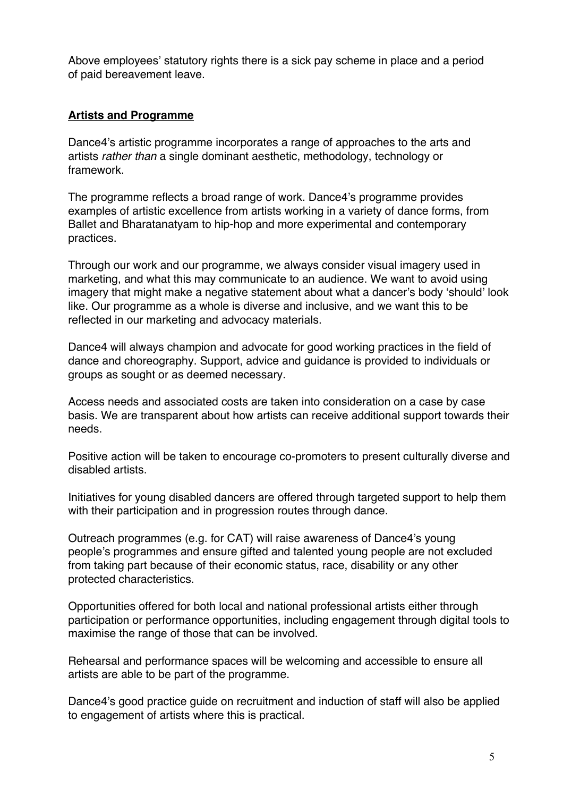Above employees' statutory rights there is a sick pay scheme in place and a period of paid bereavement leave.

# **Artists and Programme**

Dance4's artistic programme incorporates a range of approaches to the arts and artists *rather than* a single dominant aesthetic, methodology, technology or framework.

The programme reflects a broad range of work. Dance4's programme provides examples of artistic excellence from artists working in a variety of dance forms, from Ballet and Bharatanatyam to hip-hop and more experimental and contemporary practices.

Through our work and our programme, we always consider visual imagery used in marketing, and what this may communicate to an audience. We want to avoid using imagery that might make a negative statement about what a dancer's body 'should' look like. Our programme as a whole is diverse and inclusive, and we want this to be reflected in our marketing and advocacy materials.

Dance4 will always champion and advocate for good working practices in the field of dance and choreography. Support, advice and guidance is provided to individuals or groups as sought or as deemed necessary.

Access needs and associated costs are taken into consideration on a case by case basis. We are transparent about how artists can receive additional support towards their needs.

Positive action will be taken to encourage co-promoters to present culturally diverse and disabled artists.

Initiatives for young disabled dancers are offered through targeted support to help them with their participation and in progression routes through dance.

Outreach programmes (e.g. for CAT) will raise awareness of Dance4's young people's programmes and ensure gifted and talented young people are not excluded from taking part because of their economic status, race, disability or any other protected characteristics.

Opportunities offered for both local and national professional artists either through participation or performance opportunities, including engagement through digital tools to maximise the range of those that can be involved.

Rehearsal and performance spaces will be welcoming and accessible to ensure all artists are able to be part of the programme.

Dance4's good practice guide on recruitment and induction of staff will also be applied to engagement of artists where this is practical.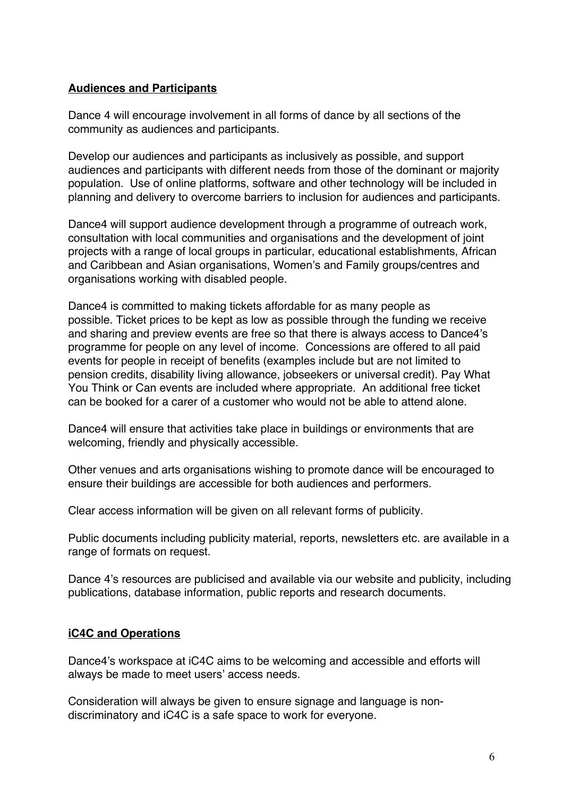#### **Audiences and Participants**

Dance 4 will encourage involvement in all forms of dance by all sections of the community as audiences and participants.

Develop our audiences and participants as inclusively as possible, and support audiences and participants with different needs from those of the dominant or majority population. Use of online platforms, software and other technology will be included in planning and delivery to overcome barriers to inclusion for audiences and participants.

Dance4 will support audience development through a programme of outreach work, consultation with local communities and organisations and the development of joint projects with a range of local groups in particular, educational establishments, African and Caribbean and Asian organisations, Women's and Family groups/centres and organisations working with disabled people*.*

Dance4 is committed to making tickets affordable for as many people as possible. Ticket prices to be kept as low as possible through the funding we receive and sharing and preview events are free so that there is always access to Dance4's programme for people on any level of income. Concessions are offered to all paid events for people in receipt of benefits (examples include but are not limited to pension credits, disability living allowance, jobseekers or universal credit). Pay What You Think or Can events are included where appropriate. An additional free ticket can be booked for a carer of a customer who would not be able to attend alone.

Dance4 will ensure that activities take place in buildings or environments that are welcoming, friendly and physically accessible.

Other venues and arts organisations wishing to promote dance will be encouraged to ensure their buildings are accessible for both audiences and performers.

Clear access information will be given on all relevant forms of publicity.

Public documents including publicity material, reports, newsletters etc. are available in a range of formats on request.

Dance 4's resources are publicised and available via our website and publicity, including publications, database information, public reports and research documents.

#### **iC4C and Operations**

Dance4's workspace at iC4C aims to be welcoming and accessible and efforts will always be made to meet users' access needs.

Consideration will always be given to ensure signage and language is nondiscriminatory and iC4C is a safe space to work for everyone.